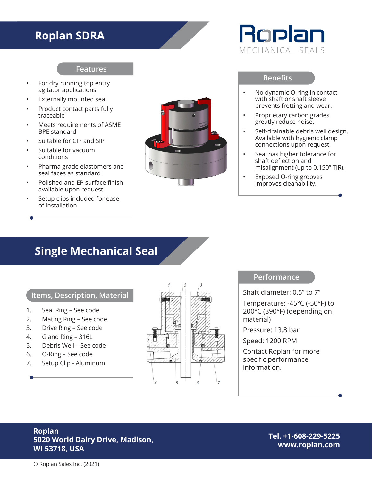### **Roplan SDRA**

#### **Features**

- For dry running top entry agitator applications
- Externally mounted seal
- Product contact parts fully traceable
- Meets requirements of ASME BPE standard
- Suitable for CIP and SIP
- Suitable for vacuum conditions
- Pharma grade elastomers and seal faces as standard
- Polished and EP surface finish available upon request
- Setup clips included for ease of installation



# Roplan MECHANICAL SEALS

#### **Benefits**

- No dynamic O-ring in contact with shaft or shaft sleeve prevents fretting and wear.
- Proprietary carbon grades greatly reduce noise.
- Self-drainable debris well design. Available with hygienic clamp connections upon request.
- Seal has higher tolerance for shaft deflection and misalignment (up to 0.150" TIR).
- Exposed O-ring grooves improves cleanability.

### **Single Mechanical Seal**

#### **Items, Description, Material**

- 1. Seal Ring See code
- 2. Mating Ring See code
- 3. Drive Ring See code
- 4. Gland Ring 316L
- 5. Debris Well See code
- 6. O-Ring See code
- 7. Setup Clip Aluminum



#### **Performance**

Shaft diameter: 0.5" to 7"

Temperature: -45°C (-50°F) to 200°C (390°F) (depending on material)

Pressure: 13.8 bar

Speed: 1200 RPM

Contact Roplan for more specific performance information.

#### **Roplan 5020 World Dairy Drive, Madison, WI 53718, USA**

**Tel. +1-608-229-5225 www.roplan.com**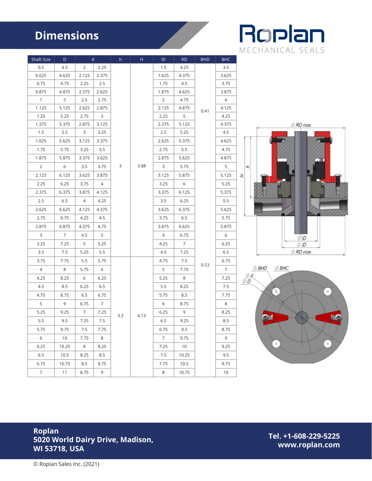## **Dimensions**



| Shaft Size     | $\mathsf{d}$<br>D. |                | h<br>H          |     | ID   | RD             | <b>BHD</b>      | <b>BHC</b> |                |                                |
|----------------|--------------------|----------------|-----------------|-----|------|----------------|-----------------|------------|----------------|--------------------------------|
| 0.5            | 4.5                | 2              | 2.25            |     | 3.88 | 1.5            | 4.25            | 0.41       | 3.5            |                                |
| 0.625          | 4.625              | 2.125          | 2.375           |     |      | 1.625          | 4.375           |            | 3.625          |                                |
| 0.75           | 4.75               | 2.25           | 2.5             |     |      | 1.75           | 4.5             |            | 3.75           |                                |
| 0.875          | 4.875              | 2.375          | 2.625           |     |      | 1.875          | 4.625           |            | 3.875          |                                |
| $\overline{1}$ | 5                  | 2.5            | 2.75            |     |      | $\overline{2}$ | 4.75            |            | $\overline{4}$ |                                |
| 1.125          | 5.125              | 2.625          | 2.875           |     |      | 2.125          | 4.875           |            | 4.125          |                                |
| 1.25           | 5.25               | 2.75           | $\mathbf{3}$    |     |      | 2.25           | 5               |            | 4.25           |                                |
| 1.375          | 5.375              | 2.875          | 3.125           |     |      | 2.375          | 5.125           |            | 4.375          | $\oslash$ RD max.              |
| 1.5            | 5.5                | 3              | 3.25            |     |      | 2.5            | 5.25            |            | 4.5            |                                |
| 1.625          | 5.625              | 3.125          | 3.375           |     |      | 2.625          | 5.375           |            | 4.625          |                                |
| 1.75           | 5.75               | 3.25           | 3.5             |     |      | 2.75           | 5.5             |            | 4.75           |                                |
| 1.875          | 5.875              | 3.375          | 3.625           |     |      | 2.875          | 5.625           |            | 4.875          |                                |
| $\overline{2}$ | 6                  | 3.5            | 3.75            | 3   |      | 3              | 5.75            |            | 5              | þ                              |
| 2.125          | 6.125              | 3.625          | 3.875           |     |      | 3.125          | 5.875           |            | 5.125          | H                              |
| 2.25           | 6.25               | 3.75           | $\overline{4}$  |     |      | 3.25           | 6               |            | 5.25           |                                |
| 2.375          | 6.375              | 3.875          | 4.125           |     |      | 3.375          | 6.125           |            | 5.375          |                                |
| 2.5            | 6.5                | $\overline{4}$ | 4.25            |     |      | 3.5            | 6.25            |            | 5.5            |                                |
| 2.625          | 6.625              | 4.125          | 4.375           |     |      | 3.625          | 6.375           |            | 5.625          |                                |
| 2.75           | 6.75               | 4.25           | 4.5             |     |      | 3.75           | 6.5             |            | 5.75           |                                |
| 2.875          | 6.875              | 4.375          | 4.75            |     |      | 3.875          | 6.625           |            | 5.875          |                                |
| 3              | $\overline{7}$     | 4.5            | 5               |     |      | $\overline{4}$ | 6.75            |            | 6              | $Ø$ ID                         |
| 3.25           | 7.25               | 5              | 5.25            |     |      | 4.25           | $7\overline{ }$ | 0.53       | 6.25           | ØID                            |
| 3.5            | 7.5                | 5.25           | 5.5             |     |      | 4.5            | 7.25            |            | 6.5            | $\oslash$ RD max.              |
| 3.75           | 7.75               | 5.5            | 5.75            | 3.3 | 4.13 | 4.75           | 7.5             |            | 6.75           |                                |
| $\overline{4}$ | 8                  | 5.75           | 6               |     |      | 5              | 7.75            |            | $\overline{7}$ | $\oslash$ BHD<br>$\oslash$ BHC |
| 4.25           | 8.25               | 6              | 6.25            |     |      | 5.25           | 8               |            | 7.25           | $\emptyset d$<br>ØD            |
| 4.5            | 8.5                | 6.25           | 6.5             |     |      | 5.5            | 8.25            |            | 7.5            |                                |
| 4.75           | 8.75               | 6.5            | 6.75            |     |      | 5.75           | 8.5             |            | 7.75           |                                |
| 5              | 9                  | 6.75           | $7\overline{ }$ |     |      | 6              | 8.75            |            | 8              |                                |
| 5.25           | 9.25               | $\overline{7}$ | 7.25            |     |      | 6.25           | 9               |            | 8.25           |                                |
| 5.5            | 9.5                | 7.25           | 7.5             |     |      | 6.5            | 9.25            |            | 8.5            | $\circ$                        |
| 5.75           | 9.75               | 7.5            | 7.75            |     |      | 6.75           | 9.5             |            | 8.75           |                                |
| 6              | 10                 | 7.75           | 8               |     |      | $\overline{7}$ | 9.75            |            | 9              |                                |
| 6.25           | 10.25              | 8              | 8.25            |     |      | 7.25           | 10              |            | 9.25           | $\times$                       |
| 6.5            | 10.5               | 8.25           | 8.5             |     |      | 7.5            | 10.25           |            | 9.5            |                                |
| 6.75           | 10.75              | 8.5            | 8.75            |     |      | 7.75           | 10.5            |            | 9.75           |                                |
| $\overline{7}$ | 11                 | 8.75           | 9               |     |      | 8              | 10.75           |            | 10             |                                |

#### **Roplan 5020 World Dairy Drive, Madison, WI 53718, USA**

**Tel. +1-608-229-5225 www.roplan.com**